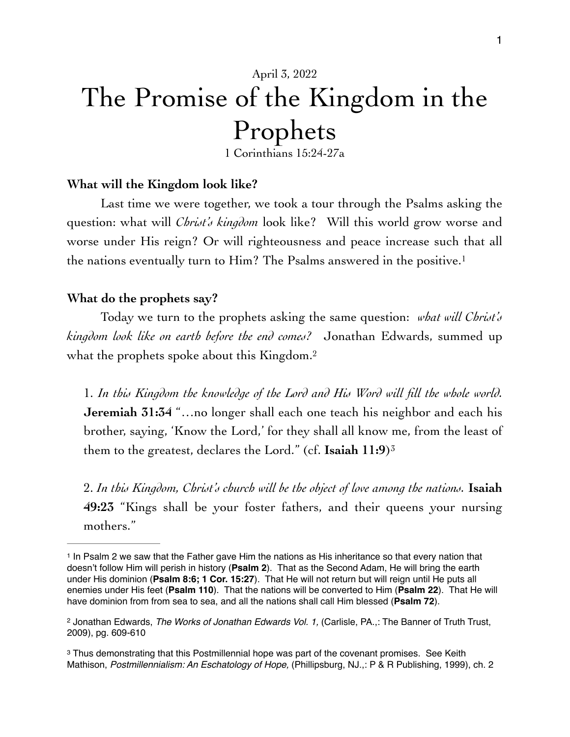# April 3, 2022 The Promise of the Kingdom in the Prophets

<span id="page-0-4"></span><span id="page-0-3"></span>1 Corinthians 15:24-27a

#### **What will the Kingdom look like?**

Last time we were together, we took a tour through the Psalms asking the question: what will *Christ's kingdom* look like? Will this world grow worse and worse under His reign? Or will righteousness and peace increase such that all the nations eventually turn to Him? The Psalms answered in the positive.<sup>1</sup>

#### **What do the prophets say?**

Today we turn to the prophets asking the same question: *what will Christ's kingdom look like on earth before the end comes?* Jonathan Edwards, summed up what the prophets spoke about this Kingdom.<sup>2</sup>

1. *In this Kingdom the knowledge of the Lord and His Word will fill the whole world.*  **Jeremiah 31:34** "…no longer shall each one teach his neighbor and each his brother, saying, 'Know the Lord,' for they shall all know me, from the least of them to the greatest, declares the Lord." (cf. **Isaiah 11:9**)[3](#page-0-2)

<span id="page-0-5"></span>2. *In this Kingdom, Christ's church will be the object of love among the nations.* **Isaiah 49:23** "Kings shall be your foster fathers, and their queens your nursing mothers."

<span id="page-0-0"></span><sup>&</sup>lt;sup>1</sup>In Psalm 2 we saw that the Father gave Him the nations as His inheritance so that every nation that doesn't follow Him will perish in history (**Psalm 2**). That as the Second Adam, He will bring the earth under His dominion (**Psalm 8:6; 1 Cor. 15:27**). That He will not return but will reign until He puts all enemies under His feet (**Psalm 110**). That the nations will be converted to Him (**Psalm 22**). That He will have dominion from from sea to sea, and all the nations shall call Him blessed (**Psalm 72**).

<span id="page-0-1"></span><sup>&</sup>lt;sup>[2](#page-0-4)</sup> Jonathan Edwards, *The Works of Jonathan Edwards Vol. 1*, (Carlisle, PA.,: The Banner of Truth Trust, 2009), pg. 609-610

<span id="page-0-2"></span><sup>&</sup>lt;sup>3</sup>Thus demonstrating that this Postmillennial hope was part of the covenant promises. See Keith Mathison, *Postmillennialism: An Eschatology of Hope,* (Phillipsburg, NJ.,: P & R Publishing, 1999), ch. 2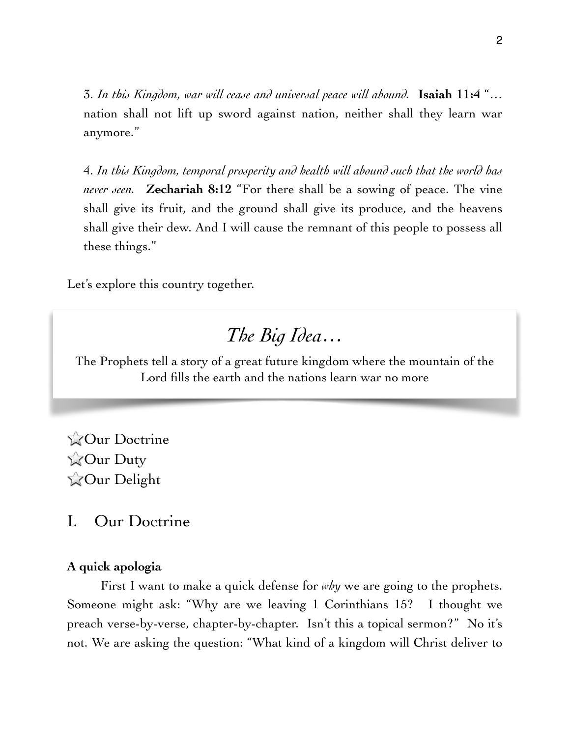3. *In this Kingdom, war will cease and universal peace will abound.* **Isaiah 11:4** "… nation shall not lift up sword against nation, neither shall they learn war anymore."

4. *In this Kingdom, temporal prosperity and health will abound such that the world has never seen.* **Zechariah 8:12** "For there shall be a sowing of peace. The vine shall give its fruit, and the ground shall give its produce, and the heavens shall give their dew. And I will cause the remnant of this people to possess all these things."

Let's explore this country together.

## *The Big Idea…*

The Prophets tell a story of a great future kingdom where the mountain of the Lord fills the earth and the nations learn war no more

**Our Doctrine ZOur Duty ZOur Delight** 

I. Our Doctrine

### **A quick apologia**

First I want to make a quick defense for *why* we are going to the prophets. Someone might ask: "Why are we leaving 1 Corinthians 15? I thought we preach verse-by-verse, chapter-by-chapter. Isn't this a topical sermon?" No it's not. We are asking the question: "What kind of a kingdom will Christ deliver to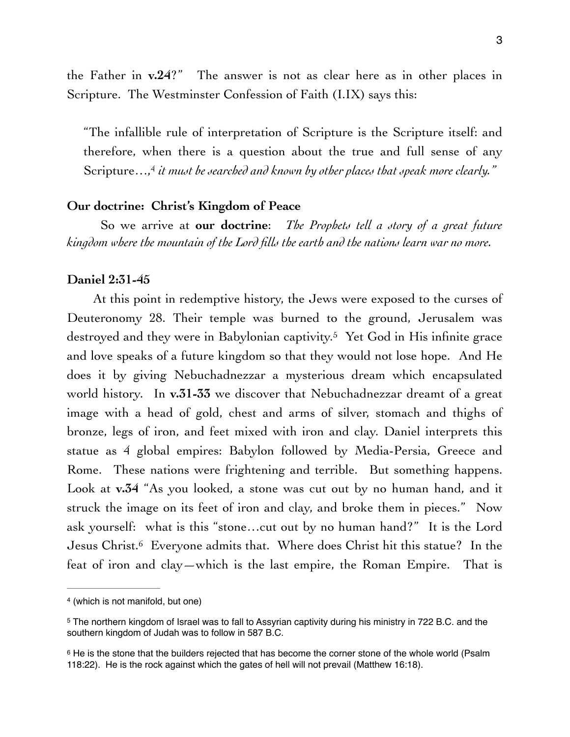the Father in **v.24**?" The answer is not as clear here as in other places in Scripture. The Westminster Confession of Faith (I.IX) says this:

<span id="page-2-3"></span>"The infallible rule of interpretation of Scripture is the Scripture itself: and therefore, when there is a question about the true and full sense of any Scripture…,<sup>[4](#page-2-0)</sup> it must be searched and known by other places that speak more clearly."

#### **Our doctrine: Christ's Kingdom of Peace**

So we arrive at **our doctrine**: *The Prophets tell a story of a great future kingdom where the mountain of the Lord fills the earth and the nations learn war no more.*

#### **Daniel 2:31-45**

<span id="page-2-4"></span>At this point in redemptive history, the Jews were exposed to the curses of Deuteronomy 28. Their temple was burned to the ground, Jerusalem was destroyed and they were in Babylonian captivity.<sup>[5](#page-2-1)</sup> Yet God in His infinite grace and love speaks of a future kingdom so that they would not lose hope. And He does it by giving Nebuchadnezzar a mysterious dream which encapsulated world history. In **v.31-33** we discover that Nebuchadnezzar dreamt of a great image with a head of gold, chest and arms of silver, stomach and thighs of bronze, legs of iron, and feet mixed with iron and clay. Daniel interprets this statue as 4 global empires: Babylon followed by Media-Persia, Greece and Rome. These nations were frightening and terrible. But something happens. Look at **v.34** "As you looked, a stone was cut out by no human hand, and it struck the image on its feet of iron and clay, and broke them in pieces." Now ask yourself: what is this "stone…cut out by no human hand?" It is the Lord Jesus Christ.<sup>6</sup> Everyone admits that[.](#page-2-2) Where does Christ hit this statue? In the feat of iron and clay—which is the last empire, the Roman Empire. That is

<span id="page-2-5"></span><span id="page-2-0"></span><sup>&</sup>lt;sup>[4](#page-2-3)</sup> (which is not manifold, but one)

<span id="page-2-1"></span>The northern kingdom of Israel was to fall to Assyrian captivity during his ministry in 722 B.C. and the [5](#page-2-4) southern kingdom of Judah was to follow in 587 B.C.

<span id="page-2-2"></span><sup>&</sup>lt;sup>6</sup>He is the stone that the builders rejected that has become the corner stone of the whole world (Psalm 118:22). He is the rock against which the gates of hell will not prevail (Matthew 16:18).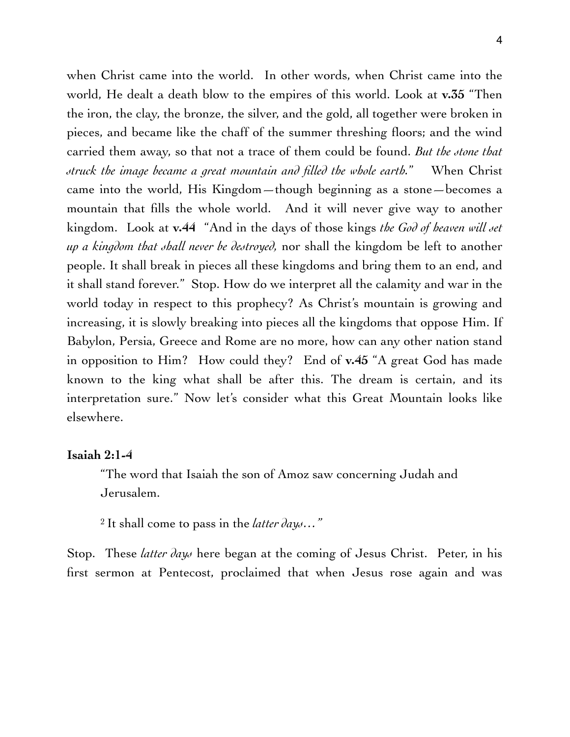when Christ came into the world. In other words, when Christ came into the world, He dealt a death blow to the empires of this world. Look at **v.35** "Then the iron, the clay, the bronze, the silver, and the gold, all together were broken in pieces, and became like the chaff of the summer threshing floors; and the wind carried them away, so that not a trace of them could be found. *But the stone that struck the image became a great mountain and filled the whole earth.*" When Christ came into the world, His Kingdom—though beginning as a stone—becomes a mountain that fills the whole world. And it will never give way to another kingdom. Look at **v.44** "And in the days of those kings *the God of heaven will set up a kingdom that shall never be destroyed,* nor shall the kingdom be left to another people. It shall break in pieces all these kingdoms and bring them to an end, and it shall stand forever." Stop. How do we interpret all the calamity and war in the world today in respect to this prophecy? As Christ's mountain is growing and increasing, it is slowly breaking into pieces all the kingdoms that oppose Him. If Babylon, Persia, Greece and Rome are no more, how can any other nation stand in opposition to Him? How could they? End of **v.45** "A great God has made known to the king what shall be after this. The dream is certain, and its interpretation sure." Now let's consider what this Great Mountain looks like elsewhere.

#### **Isaiah 2:1-4**

"The word that Isaiah the son of Amoz saw concerning Judah and Jerusalem.

2 It shall come to pass in the *latter days…"*

Stop. These *latter days* here began at the coming of Jesus Christ. Peter, in his first sermon at Pentecost, proclaimed that when Jesus rose again and was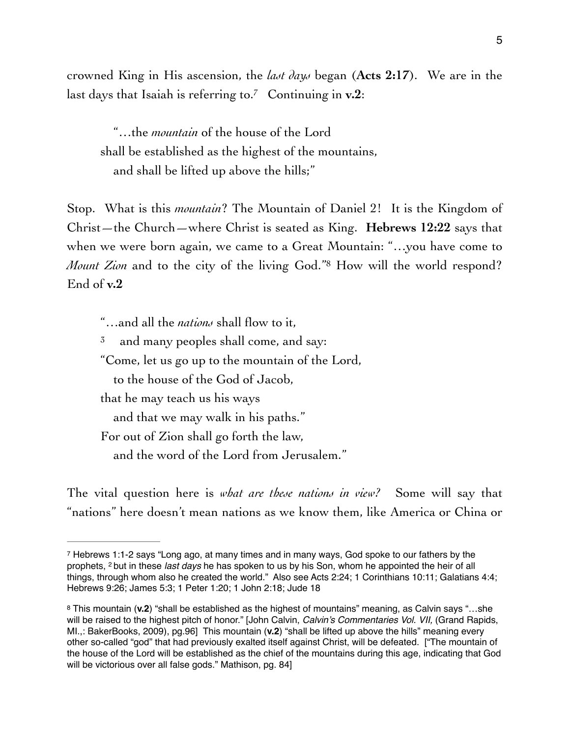crowned King in His ascension, the *last days* began (**Acts 2:17**). We are in the last days that Isaiah is referring to.<sup>7</sup> Continuing in  $v.2$ :

<span id="page-4-2"></span> "…the *mountain* of the house of the Lord shall be established as the highest of the mountains, and shall be lifted up above the hills;"

Stop. What is this *mountain*? The Mountain of Daniel 2! It is the Kingdom of Christ—the Church—where Christ is seated as King. **Hebrews 12:22** says that when we were born again, we came to a Great Mountain: "…you have come to *Mount Zion* and to the city of the living God."<sup>[8](#page-4-1)</sup> How will the world respond? End of **v.2**

<span id="page-4-3"></span>"…and all the *nations* shall flow to it,

 $3^{\circ}$  and many peoples shall come, and say:

"Come, let us go up to the mountain of the Lord,

to the house of the God of Jacob,

that he may teach us his ways

and that we may walk in his paths."

For out of Zion shall go forth the law,

and the word of the Lord from Jerusalem."

The vital question here is *what are these nations in view?* Some will say that "nations" here doesn't mean nations as we know them, like America or China or

<span id="page-4-0"></span><sup>&</sup>lt;sup>7</sup>Hebrews 1:1-2 says "Long ago, at many times and in many ways, God spoke to our fathers by the prophets, 2 but in these *last days* he has spoken to us by his Son, whom he appointed the heir of all things, through whom also he created the world." Also see Acts 2:24; 1 Corinthians 10:11; Galatians 4:4; Hebrews 9:26; James 5:3; 1 Peter 1:20; 1 John 2:18; Jude 18

<span id="page-4-1"></span>This mountain (**v.2**) "shall be established as the highest of mountains" meaning, as Calvin says "…she [8](#page-4-3) will be raised to the highest pitch of honor." [John Calvin, *Calvin's Commentaries Vol. VII,* (Grand Rapids, MI.,: BakerBooks, 2009), pg.96] This mountain (**v.2**) "shall be lifted up above the hills" meaning every other so-called "god" that had previously exalted itself against Christ, will be defeated. ["The mountain of the house of the Lord will be established as the chief of the mountains during this age, indicating that God will be victorious over all false gods." Mathison, pg. 84]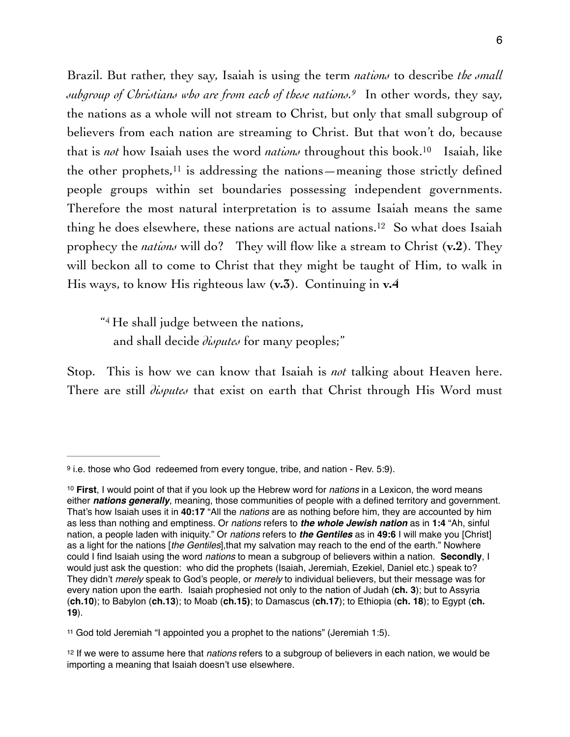<span id="page-5-6"></span><span id="page-5-5"></span><span id="page-5-4"></span>Brazil. But rather, they say, Isaiah is using the term *nations* to describe *the small subgroup of Christians who are from each of these nations.* In other words, they say, the nations as a whole will not stream to Christ, but only that small subgroup of believers from each nation are streaming to Christ. But that won't do, because that is *not* how Isaiah uses the word *nations* throughout this book[.](#page-5-1)<sup>[10](#page-5-1)</sup> Isaiah, like the other prophets,  $11$  is addressing the nations—meaning those strictly defined people groups within set boundaries possessing independent governments. Therefore the most natural interpretation is to assume Isaiah means the same thing he does elsewhere, these nations are actual nations.<sup>[12](#page-5-3)</sup> So what does Isaiah prophecy the *nations* will do? They will flow like a stream to Christ (**v.2**). They will beckon all to come to Christ that they might be taught of Him, to walk in His ways, to know His righteous law (**v.3**). Continuing in **v.4**

<span id="page-5-7"></span>"4 He shall judge between the nations, and shall decide *disputes* for many peoples;"

Stop. This is how we can know that Isaiah is *not* talking about Heaven here. There are still *disputes* that exist on earth that Christ through His Word must

<span id="page-5-0"></span> $9$  i.e. those who God redeemed from every tongue, tribe, and nation - Rev. 5:9).

<span id="page-5-1"></span>**First**, I would point of that if you look up the Hebrew word for *nations* in a Lexicon, the word means [10](#page-5-5) either *nations generally*, meaning, those communities of people with a defined territory and government. That's how Isaiah uses it in **40:17** "All the *nations* are as nothing before him, they are accounted by him as less than nothing and emptiness. Or *nations* refers to *the whole Jewish nation* as in **1:4** "Ah, sinful nation, a people laden with iniquity." Or *nations* refers to *the Gentiles* as in **49:6** I will make you [Christ] as a light for the nations [*the Gentiles*],that my salvation may reach to the end of the earth." Nowhere could I find Isaiah using the word *nations* to mean a subgroup of believers within a nation. **Secondly**, I would just ask the question: who did the prophets (Isaiah, Jeremiah, Ezekiel, Daniel etc.) speak to? They didn't *merely* speak to God's people, or *merely* to individual believers, but their message was for every nation upon the earth. Isaiah prophesied not only to the nation of Judah (**ch. 3**); but to Assyria (**ch.10**); to Babylon (**ch.13**); to Moab (**ch.15)**; to Damascus (**ch.17**); to Ethiopia (**ch. 18**); to Egypt (**ch. 19**).

<span id="page-5-2"></span><sup>&</sup>lt;sup>[11](#page-5-6)</sup> God told Jeremiah "I appointed you a prophet to the nations" (Jeremiah 1:5).

<span id="page-5-3"></span><sup>&</sup>lt;sup>[12](#page-5-7)</sup> If we were to assume here that *nations* refers to a subgroup of believers in each nation, we would be importing a meaning that Isaiah doesn't use elsewhere.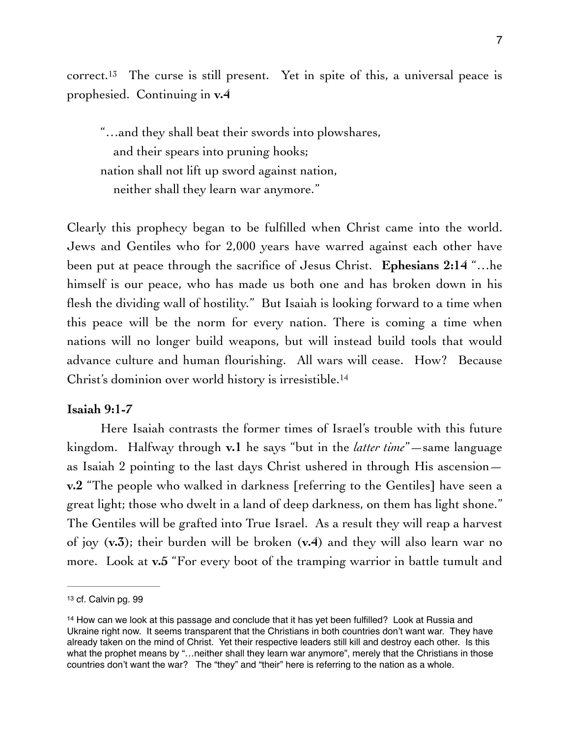<span id="page-6-2"></span>correct.<sup>13</sup> The curse is still present[.](#page-6-0) Yet in spite of this, a universal peace is prophesied. Continuing in **v.4**

"…and they shall beat their swords into plowshares, and their spears into pruning hooks; nation shall not lift up sword against nation, neither shall they learn war anymore."

Clearly this prophecy began to be fulfilled when Christ came into the world. Jews and Gentiles who for 2,000 years have warred against each other have been put at peace through the sacrifice of Jesus Christ. **Ephesians 2:14** "…he himself is our peace, who has made us both one and has broken down in his flesh the dividing wall of hostility." But Isaiah is looking forward to a time when this peace will be the norm for every nation. There is coming a time when nations will no longer build weapons, but will instead build tools that would advance culture and human flourishing. All wars will cease. How? Because Christ's dominion over world history is irresistible[.14](#page-6-1)

#### <span id="page-6-3"></span>**Isaiah 9:1-7**

Here Isaiah contrasts the former times of Israel's trouble with this future kingdom. Halfway through **v.1** he says "but in the *latter time*"—same language as Isaiah 2 pointing to the last days Christ ushered in through His ascension **v.2** "The people who walked in darkness [referring to the Gentiles] have seen a great light; those who dwelt in a land of deep darkness, on them has light shone." The Gentiles will be grafted into True Israel. As a result they will reap a harvest of joy (**v.3**); their burden will be broken (**v.4**) and they will also learn war no more. Look at **v.5** "For every boot of the tramping warrior in battle tumult and

<span id="page-6-0"></span>[<sup>13</sup>](#page-6-2) cf. Calvin pg. 99

<span id="page-6-1"></span><sup>&</sup>lt;sup>[14](#page-6-3)</sup> How can we look at this passage and conclude that it has yet been fulfilled? Look at Russia and Ukraine right now. It seems transparent that the Christians in both countries don't want war. They have already taken on the mind of Christ. Yet their respective leaders still kill and destroy each other. Is this what the prophet means by "...neither shall they learn war anymore", merely that the Christians in those countries don't want the war? The "they" and "their" here is referring to the nation as a whole.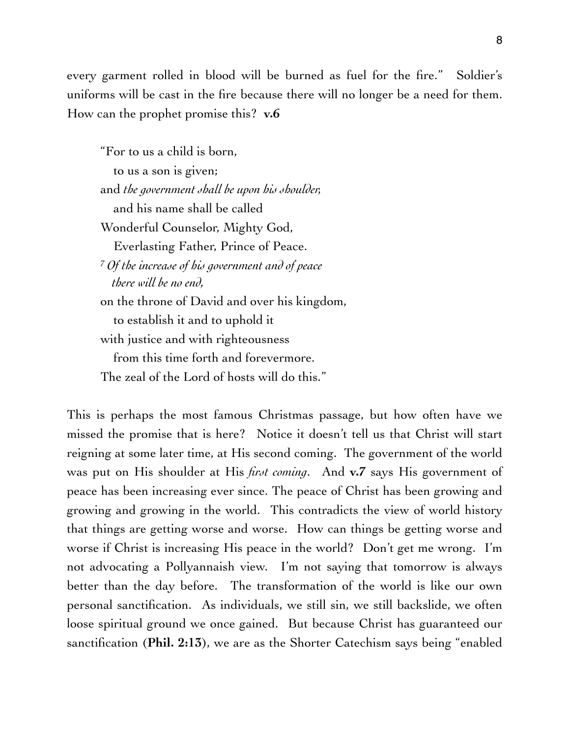every garment rolled in blood will be burned as fuel for the fire." Soldier's uniforms will be cast in the fire because there will no longer be a need for them. How can the prophet promise this? **v.6**

"For to us a child is born, to us a son is given; and *the government shall be upon his shoulder,* and his name shall be called Wonderful Counselor, Mighty God, Everlasting Father, Prince of Peace. <sup>7</sup>*Of the increase of his government and of peace there will be no end,* on the throne of David and over his kingdom, to establish it and to uphold it with justice and with righteousness from this time forth and forevermore. The zeal of the Lord of hosts will do this."

This is perhaps the most famous Christmas passage, but how often have we missed the promise that is here? Notice it doesn't tell us that Christ will start reigning at some later time, at His second coming. The government of the world was put on His shoulder at His *first coming*. And **v.7** says His government of peace has been increasing ever since. The peace of Christ has been growing and growing and growing in the world. This contradicts the view of world history that things are getting worse and worse. How can things be getting worse and worse if Christ is increasing His peace in the world? Don't get me wrong. I'm not advocating a Pollyannaish view. I'm not saying that tomorrow is always better than the day before. The transformation of the world is like our own personal sanctification. As individuals, we still sin, we still backslide, we often loose spiritual ground we once gained. But because Christ has guaranteed our sanctification (**Phil. 2:13**), we are as the Shorter Catechism says being "enabled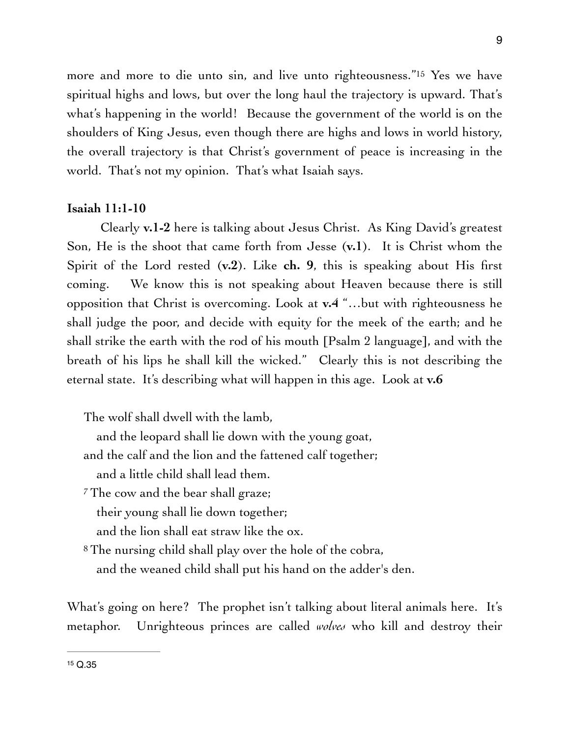<span id="page-8-1"></span>more and more to die unto sin, and live unto righteousness."<sup>[15](#page-8-0)</sup> Yes we have spiritual highs and lows, but over the long haul the trajectory is upward. That's what's happening in the world! Because the government of the world is on the shoulders of King Jesus, even though there are highs and lows in world history, the overall trajectory is that Christ's government of peace is increasing in the world. That's not my opinion. That's what Isaiah says.

#### **Isaiah 11:1-10**

Clearly **v.1-2** here is talking about Jesus Christ. As King David's greatest Son, He is the shoot that came forth from Jesse (**v.1**). It is Christ whom the Spirit of the Lord rested (**v.2**). Like **ch. 9**, this is speaking about His first coming. We know this is not speaking about Heaven because there is still opposition that Christ is overcoming. Look at **v.4** "…but with righteousness he shall judge the poor, and decide with equity for the meek of the earth; and he shall strike the earth with the rod of his mouth [Psalm 2 language], and with the breath of his lips he shall kill the wicked." Clearly this is not describing the eternal state. It's describing what will happen in this age. Look at **v.6**

The wolf shall dwell with the lamb,

and the leopard shall lie down with the young goat,

and the calf and the lion and the fattened calf together;

and a little child shall lead them.

<sup>7</sup> The cow and the bear shall graze;

their young shall lie down together;

and the lion shall eat straw like the ox.

8 The nursing child shall play over the hole of the cobra, and the weaned child shall put his hand on the adder's den.

<span id="page-8-0"></span>What's going on here? The prophet isn't talking about literal animals here. It's metaphor. Unrighteous princes are called *wolves* who kill and destroy their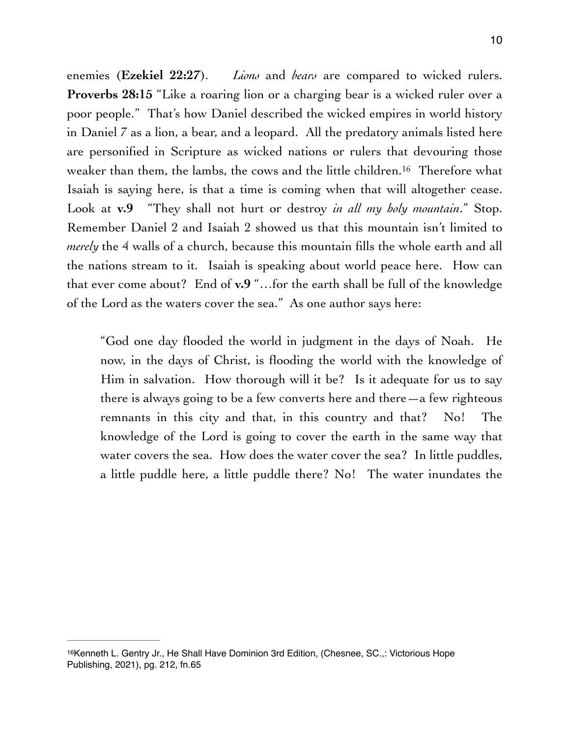<span id="page-9-1"></span>enemies (**Ezekiel 22:27**). *Lions* and *bears* are compared to wicked rulers. **Proverbs 28:15** "Like a roaring lion or a charging bear is a wicked ruler over a poor people." That's how Daniel described the wicked empires in world history in Daniel 7 as a lion, a bear, and a leopard. All the predatory animals listed here are personified in Scripture as wicked nations or rulers that devouring those weaker than them, the lambs, the cows and the little children.<sup>[16](#page-9-0)</sup> Therefore what Isaiah is saying here, is that a time is coming when that will altogether cease. Look at **v.9** "They shall not hurt or destroy *in all my holy mountain*." Stop. Remember Daniel 2 and Isaiah 2 showed us that this mountain isn't limited to *merely* the 4 walls of a church, because this mountain fills the whole earth and all the nations stream to it. Isaiah is speaking about world peace here. How can that ever come about? End of **v.9** "…for the earth shall be full of the knowledge of the Lord as the waters cover the sea." As one author says here:

"God one day flooded the world in judgment in the days of Noah. He now, in the days of Christ, is flooding the world with the knowledge of Him in salvation. How thorough will it be? Is it adequate for us to say there is always going to be a few converts here and there  $-a$  few righteous remnants in this city and that, in this country and that? No! The knowledge of the Lord is going to cover the earth in the same way that water covers the sea. How does the water cover the sea? In little puddles, a little puddle here, a little puddle there? No! The water inundates the

<span id="page-9-0"></span><sup>&</sup>lt;sup>[16](#page-9-1)</sup> Kenneth L. Gentry Jr., He Shall Have Dominion 3rd Edition, (Chesnee, SC.,: Victorious Hope Publishing, 2021), pg. 212, fn.65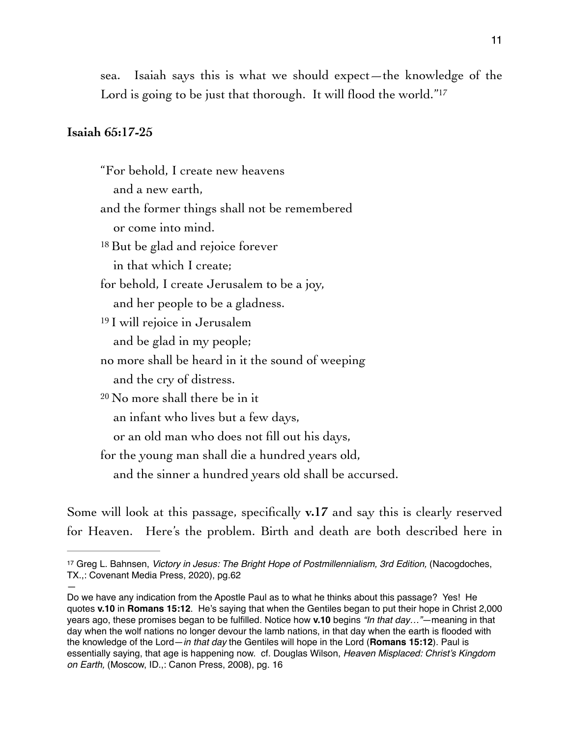<span id="page-10-1"></span>sea. Isaiah says this is what we should expect—the knowledge of the Lord is going to be just that thorough. It will flood the world."<sup>17</sup>

#### **Isaiah 65:17-25**

—

"For behold, I create new heavens and a new earth, and the former things shall not be remembered or come into mind. <sup>18</sup> But be glad and rejoice forever in that which I create; for behold, I create Jerusalem to be a joy, and her people to be a gladness. 19 I will rejoice in Jerusalem and be glad in my people; no more shall be heard in it the sound of weeping and the cry of distress. 20 No more shall there be in it an infant who lives but a few days, or an old man who does not fill out his days, for the young man shall die a hundred years old, and the sinner a hundred years old shall be accursed.

Some will look at this passage, specifically **v.17** and say this is clearly reserved for Heaven. Here's the problem. Birth and death are both described here in

<span id="page-10-0"></span><sup>&</sup>lt;sup>[17](#page-10-1)</sup> Greg L. Bahnsen, *Victory in Jesus: The Bright Hope of Postmillennialism, 3rd Edition, (Nacogdoches,* TX.,: Covenant Media Press, 2020), pg.62

Do we have any indication from the Apostle Paul as to what he thinks about this passage? Yes! He quotes **v.10** in **Romans 15:12**. He's saying that when the Gentiles began to put their hope in Christ 2,000 years ago, these promises began to be fulfilled. Notice how **v.10** begins *"In that day…"*—meaning in that day when the wolf nations no longer devour the lamb nations, in that day when the earth is flooded with the knowledge of the Lord—*in that day* the Gentiles will hope in the Lord (**Romans 15:12**). Paul is essentially saying, that age is happening now. cf. Douglas Wilson, *Heaven Misplaced: Christ's Kingdom on Earth,* (Moscow, ID.,: Canon Press, 2008), pg. 16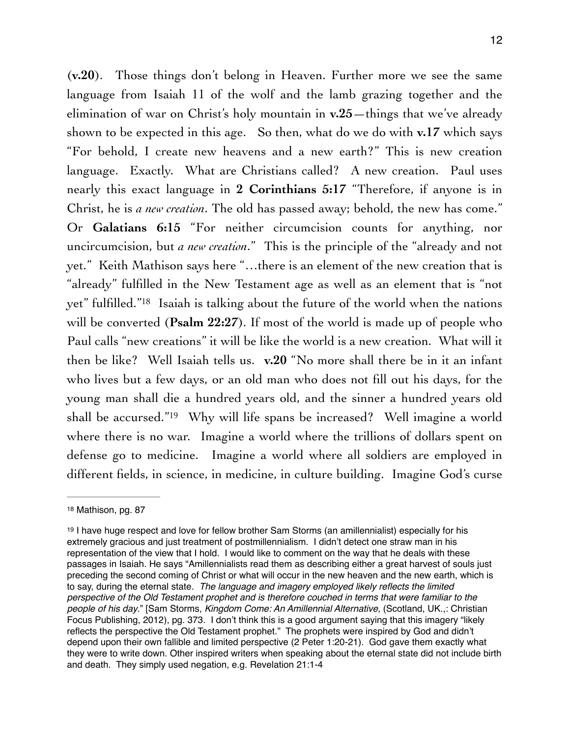(**v.20**). Those things don't belong in Heaven. Further more we see the same language from Isaiah 11 of the wolf and the lamb grazing together and the elimination of war on Christ's holy mountain in **v.25**—things that we've already shown to be expected in this age. So then, what do we do with **v.17** which says "For behold, I create new heavens and a new earth?" This is new creation language. Exactly. What are Christians called? A new creation. Paul uses nearly this exact language in **2 Corinthians 5:17** "Therefore, if anyone is in Christ, he is *a new creation*. The old has passed away; behold, the new has come." Or **Galatians 6:15** "For neither circumcision counts for anything, nor uncircumcision, but *a new creation*." This is the principle of the "already and not yet." Keith Mathison says here "…there is an element of the new creation that is "already" fulfilled in the New Testament age as well as an element that is "not yet["](#page-11-0) fulfilled."<sup>[18](#page-11-0)</sup> Isaiah is talking about the future of the world when the nations will be converted (**Psalm 22:27**). If most of the world is made up of people who Paul calls "new creations" it will be like the world is a new creation. What will it then be like? Well Isaiah tells us. **v.20** "No more shall there be in it an infant who lives but a few days, or an old man who does not fill out his days, for the young man shall die a hundred years old, and the sinner a hundred years old shall be accursed.["](#page-11-1) $19$  Why will life spans be increased? Well imagine a world where there is no war. Imagine a world where the trillions of dollars spent on defense go to medicine. Imagine a world where all soldiers are employed in different fields, in science, in medicine, in culture building. Imagine God's curse

<span id="page-11-3"></span><span id="page-11-2"></span><span id="page-11-0"></span>[<sup>18</sup>](#page-11-2) Mathison, pg. 87

<span id="page-11-1"></span> $19$  I have huge respect and love for fellow brother Sam Storms (an amillennialist) especially for his extremely gracious and just treatment of postmillennialism. I didn't detect one straw man in his representation of the view that I hold. I would like to comment on the way that he deals with these passages in Isaiah. He says "Amillennialists read them as describing either a great harvest of souls just preceding the second coming of Christ or what will occur in the new heaven and the new earth, which is to say, during the eternal state. *The language and imagery employed likely reflects the limited perspective of the Old Testament prophet and is therefore couched in terms that were familiar to the people of his day*." [Sam Storms, *Kingdom Come: An Amillennial Alternative,* (Scotland, UK.,: Christian Focus Publishing, 2012), pg. 373. I don't think this is a good argument saying that this imagery "likely reflects the perspective the Old Testament prophet." The prophets were inspired by God and didn't depend upon their own fallible and limited perspective (2 Peter 1:20-21). God gave them exactly what they were to write down. Other inspired writers when speaking about the eternal state did not include birth and death. They simply used negation, e.g. Revelation 21:1-4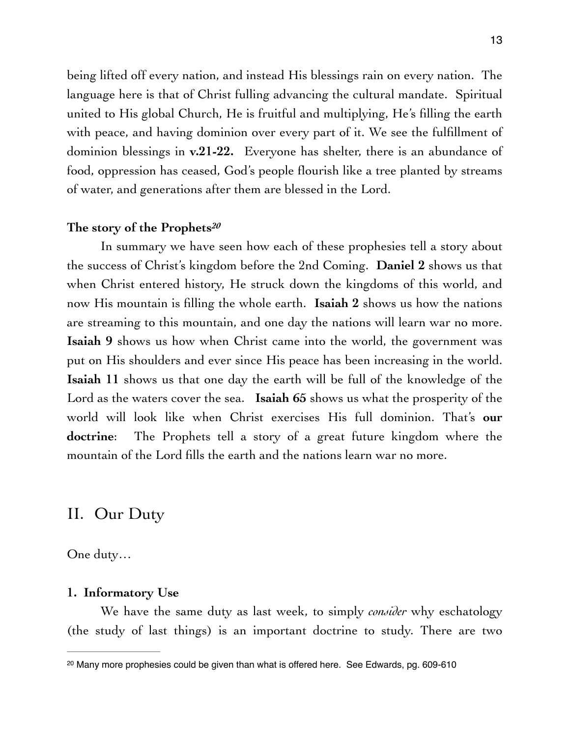being lifted off every nation, and instead His blessings rain on every nation. The language here is that of Christ fulling advancing the cultural mandate. Spiritual united to His global Church, He is fruitful and multiplying, He's filling the earth with peace, and having dominion over every part of it. We see the fulfillment of dominion blessings in **v.21-22.** Everyone has shelter, there is an abundance of food, oppression has ceased, God's people flourish like a tree planted by streams of water, and generations after them are blessed in the Lord.

#### <span id="page-12-1"></span>**The story of the Prophets***[20](#page-12-0)*

In summary we have seen how each of these prophesies tell a story about the success of Christ's kingdom before the 2nd Coming. **Daniel 2** shows us that when Christ entered history, He struck down the kingdoms of this world, and now His mountain is filling the whole earth. **Isaiah 2** shows us how the nations are streaming to this mountain, and one day the nations will learn war no more. **Isaiah 9** shows us how when Christ came into the world, the government was put on His shoulders and ever since His peace has been increasing in the world. **Isaiah 11** shows us that one day the earth will be full of the knowledge of the Lord as the waters cover the sea. **Isaiah 65** shows us what the prosperity of the world will look like when Christ exercises His full dominion. That's **our doctrine**: The Prophets tell a story of a great future kingdom where the mountain of the Lord fills the earth and the nations learn war no more.

## II. Our Duty

One duty…

#### **1. Informatory Use**

We have the same duty as last week, to simply *consider* why eschatology (the study of last things) is an important doctrine to study. There are two

<span id="page-12-0"></span><sup>&</sup>lt;sup>[20](#page-12-1)</sup> Many more prophesies could be given than what is offered here. See Edwards, pg. 609-610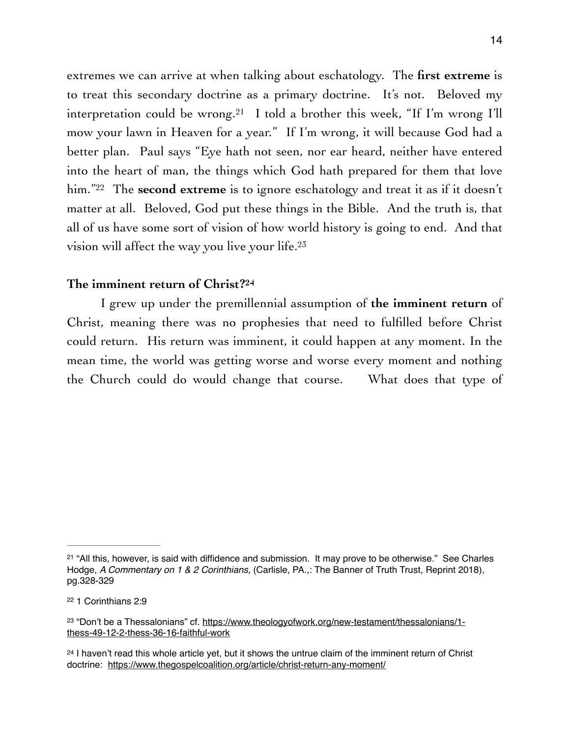<span id="page-13-4"></span>extremes we can arrive at when talking about eschatology. The **first extreme** is to treat this secondary doctrine as a primary doctrine. It's not. Beloved my interpretation could be wrong.<sup>[21](#page-13-0)</sup> I told a brother this week, "If I'm wrong I'll mow your lawn in Heaven for a year." If I'm wrong, it will because God had a better plan. Paul says "Eye hath not seen, nor ear heard, neither have entered into the heart of man, the things which God hath prepared for them that love him."<sup>22</sup> The **second extreme** is to ignore eschatology and treat it as if it doesn't matter at all. Beloved, God put these things in the Bible. And the truth is, that all of us have some sort of vision of how world history is going to end. And that vision will affect the way you live your life. [23](#page-13-2)

#### <span id="page-13-7"></span><span id="page-13-6"></span><span id="page-13-5"></span>**The imminent return of Christ?[24](#page-13-3)**

I grew up under the premillennial assumption of **the imminent return** of Christ, meaning there was no prophesies that need to fulfilled before Christ could return. His return was imminent, it could happen at any moment. In the mean time, the world was getting worse and worse every moment and nothing the Church could do would change that course. What does that type of

<span id="page-13-0"></span> $21$  "All this, however, is said with diffidence and submission. It may prove to be otherwise." See Charles Hodge, *A Commentary on 1 & 2 Corinthians,* (Carlisle, PA.,: The Banner of Truth Trust, Reprint 2018), pg.328-329

<span id="page-13-1"></span><sup>&</sup>lt;sup>[22](#page-13-5)</sup> 1 Corinthians 2:9

<span id="page-13-2"></span><sup>&</sup>lt;sup>23</sup> ["Don't be a Thessalonians" cf. https://www.theologyofwork.org/new-testament/thessalonians/1](https://www.theologyofwork.org/new-testament/thessalonians/1-thess-49-12-2-thess-36-16-faithful-work) [thess-49-12-2-thess-36-16-faithful-work](https://www.theologyofwork.org/new-testament/thessalonians/1-thess-49-12-2-thess-36-16-faithful-work)

<span id="page-13-3"></span> $24$  I haven't read this whole article yet, but it shows the untrue claim of the imminent return of Christ doctrine: <https://www.thegospelcoalition.org/article/christ-return-any-moment/>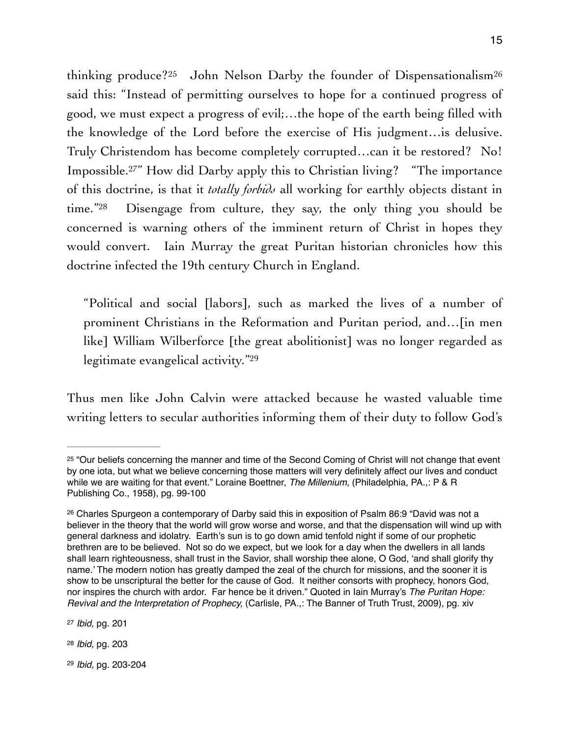<span id="page-14-7"></span><span id="page-14-5"></span>thinking produce?[25](#page-14-0) John Nelson Darby the founder of Dispensationalism[26](#page-14-1) said this: "Instead of permitting ourselves to hope for a continued progress of good, we must expect a progress of evil;…the hope of the earth being filled with the knowledge of the Lord before the exercise of His judgment…is delusive. Truly Christendom has become completely corrupted…can it be restored? No! Impossible.<sup>27["](#page-14-2)</sup> How did Darby apply this to Christian living? "The importance of this doctrine, is that it *totally forbids* all working for earthly objects distant in time.["](#page-14-3) $28$  Disengage from culture, they say, the only thing you should be concerned is warning others of the imminent return of Christ in hopes they would convert. Iain Murray the great Puritan historian chronicles how this doctrine infected the 19th century Church in England.

<span id="page-14-9"></span><span id="page-14-8"></span>"Political and social [labors], such as marked the lives of a number of prominent Christians in the Reformation and Puritan period, and…[in men like] William Wilberforce [the great abolitionist] was no longer regarded as legitimate evangelical activity.["29](#page-14-4)

Thus men like John Calvin were attacked because he wasted valuable time writing letters to secular authorities informing them of their duty to follow God's

<span id="page-14-6"></span>15

<span id="page-14-0"></span><sup>&</sup>lt;sup>[25](#page-14-5)</sup> "Our beliefs concerning the manner and time of the Second Coming of Christ will not change that event by one iota, but what we believe concerning those matters will very definitely affect our lives and conduct while we are waiting for that event." Loraine Boettner, *The Millenium,* (Philadelphia, PA.,: P & R Publishing Co., 1958), pg. 99-100

<span id="page-14-1"></span><sup>&</sup>lt;sup>[26](#page-14-6)</sup> Charles Spurgeon a contemporary of Darby said this in exposition of Psalm 86:9 "David was not a believer in the theory that the world will grow worse and worse, and that the dispensation will wind up with general darkness and idolatry. Earth's sun is to go down amid tenfold night if some of our prophetic brethren are to be believed. Not so do we expect, but we look for a day when the dwellers in all lands shall learn righteousness, shall trust in the Savior, shall worship thee alone, O God, 'and shall glorify thy name.' The modern notion has greatly damped the zeal of the church for missions, and the sooner it is show to be unscriptural the better for the cause of God. It neither consorts with prophecy, honors God, nor inspires the church with ardor. Far hence be it driven." Quoted in Iain Murray's *The Puritan Hope: Revival and the Interpretation of Prophecy,* (Carlisle, PA.,: The Banner of Truth Trust, 2009), pg. xiv

<span id="page-14-2"></span>[<sup>27</sup>](#page-14-7) *Ibid,* pg. 201

<span id="page-14-3"></span>[<sup>28</sup>](#page-14-8) *Ibid,* pg. 203

<span id="page-14-4"></span>[<sup>29</sup>](#page-14-9) *Ibid,* pg. 203-204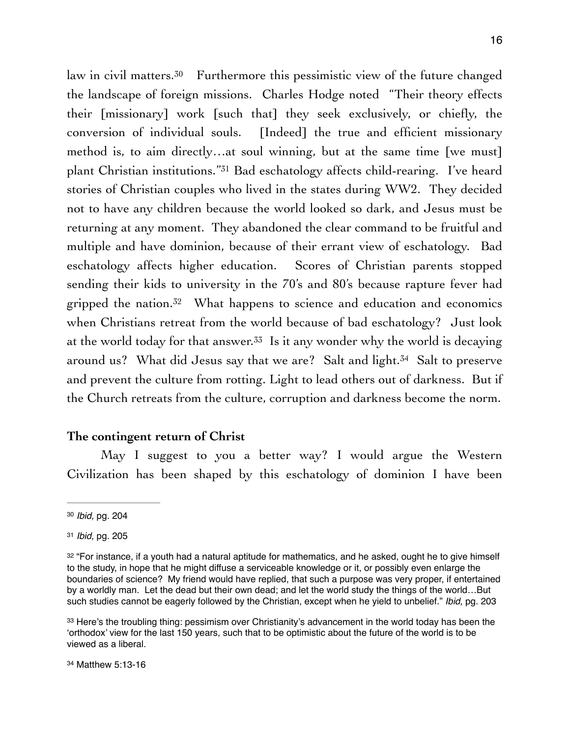<span id="page-15-6"></span><span id="page-15-5"></span>law in civil matters.<sup>[30](#page-15-0)</sup> Furthermore this pessimistic view of the future changed the landscape of foreign missions. Charles Hodge noted "Their theory effects their [missionary] work [such that] they seek exclusively, or chiefly, the conversion of individual souls. [Indeed] the true and efficient missionary method is, to aim directly…at soul winning, but at the same time [we must] plantChristian institutions."<sup>[31](#page-15-1)</sup> Bad eschatology affects child-rearing. I've heard stories of Christian couples who lived in the states during WW2. They decided not to have any children because the world looked so dark, and Jesus must be returning at any moment. They abandoned the clear command to be fruitful and multiple and have dominion, because of their errant view of eschatology. Bad eschatology affects higher education. Scores of Christian parents stopped sending their kids to university in the 70's and 80's because rapture fever had gripped the nation[.](#page-15-2)<sup>[32](#page-15-2)</sup> What happens to science and education and economics when Christians retreat from the world because of bad eschatology? Just look at the world today for that answer.<sup>[33](#page-15-3)</sup> Is it any wonder why the world is decaying around us? What did Jesus say that we are? Salt and light.<sup>[34](#page-15-4)</sup> Salt to preserve and prevent the culture from rotting. Light to lead others out of darkness. But if the Church retreats from the culture, corruption and darkness become the norm.

#### <span id="page-15-9"></span><span id="page-15-8"></span><span id="page-15-7"></span>**The contingent return of Christ**

May I suggest to you a better way? I would argue the Western Civilization has been shaped by this eschatology of dominion I have been

<span id="page-15-0"></span>[<sup>30</sup>](#page-15-5) *Ibid,* pg. 204

<span id="page-15-1"></span>[<sup>31</sup>](#page-15-6) *Ibid,* pg. 205

<span id="page-15-2"></span><sup>&</sup>lt;sup>[32](#page-15-7)</sup> "For instance, if a youth had a natural aptitude for mathematics, and he asked, ought he to give himself to the study, in hope that he might diffuse a serviceable knowledge or it, or possibly even enlarge the boundaries of science? My friend would have replied, that such a purpose was very proper, if entertained by a worldly man. Let the dead but their own dead; and let the world study the things of the world…But such studies cannot be eagerly followed by the Christian, except when he yield to unbelief." *Ibid,* pg. 203

<span id="page-15-4"></span><span id="page-15-3"></span>[<sup>33</sup>](#page-15-8) Here's the troubling thing: pessimism over Christianity's advancement in the world today has been the 'orthodox' view for the last 150 years, such that to be optimistic about the future of the world is to be viewed as a liberal.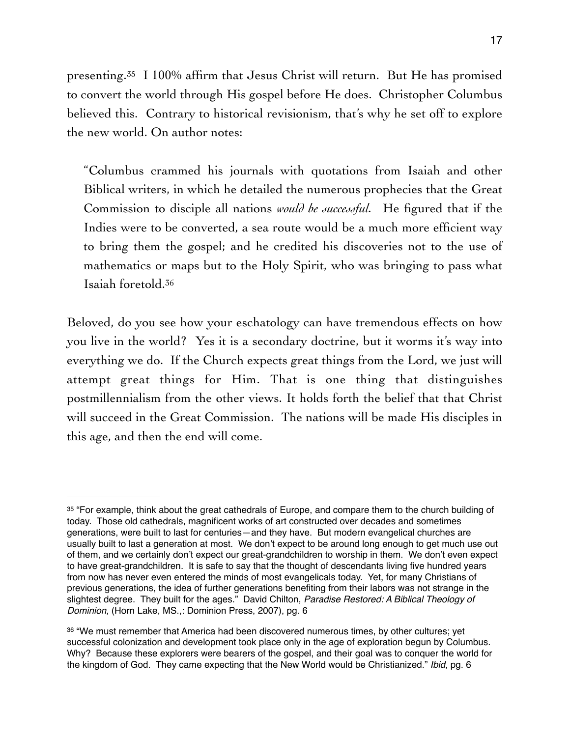<span id="page-16-2"></span>presenting.<sup>35</sup> I 100% affirm that Jesus Christ will return[.](#page-16-0) But He has promised to convert the world through His gospel before He does. Christopher Columbus believed this. Contrary to historical revisionism, that's why he set off to explore the new world. On author notes:

"Columbus crammed his journals with quotations from Isaiah and other Biblical writers, in which he detailed the numerous prophecies that the Great Commission to disciple all nations *would be successful.* He figured that if the Indies were to be converted, a sea route would be a much more efficient way to bring them the gospel; and he credited his discoveries not to the use of mathematics or maps but to the Holy Spirit, who was bringing to pass what Isaiah foretold.[36](#page-16-1)

<span id="page-16-3"></span>Beloved, do you see how your eschatology can have tremendous effects on how you live in the world? Yes it is a secondary doctrine, but it worms it's way into everything we do. If the Church expects great things from the Lord, we just will attempt great things for Him. That is one thing that distinguishes postmillennialism from the other views. It holds forth the belief that that Christ will succeed in the Great Commission. The nations will be made His disciples in this age, and then the end will come.

<span id="page-16-0"></span><sup>&</sup>lt;sup>[35](#page-16-2)</sup> "For example, think about the great cathedrals of Europe, and compare them to the church building of today. Those old cathedrals, magnificent works of art constructed over decades and sometimes generations, were built to last for centuries—and they have. But modern evangelical churches are usually built to last a generation at most. We don't expect to be around long enough to get much use out of them, and we certainly don't expect our great-grandchildren to worship in them. We don't even expect to have great-grandchildren. It is safe to say that the thought of descendants living five hundred years from now has never even entered the minds of most evangelicals today. Yet, for many Christians of previous generations, the idea of further generations benefiting from their labors was not strange in the slightest degree. They built for the ages." David Chilton, *Paradise Restored: A Biblical Theology of Dominion,* (Horn Lake, MS.,: Dominion Press, 2007), pg. 6

<span id="page-16-1"></span>[<sup>36</sup>](#page-16-3) "We must remember that America had been discovered numerous times, by other cultures; yet successful colonization and development took place only in the age of exploration begun by Columbus. Why? Because these explorers were bearers of the gospel, and their goal was to conquer the world for the kingdom of God. They came expecting that the New World would be Christianized." *Ibid,* pg. 6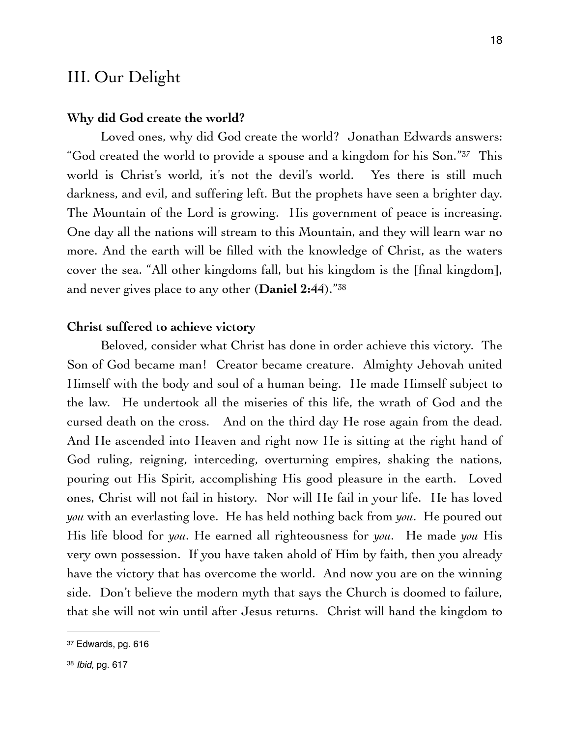## III. Our Delight

#### **Why did God create the world?**

<span id="page-17-2"></span>Loved ones, why did God create the world? Jonathan Edwards answers: "God created the world to provide a spouse and a kingdom for his Son."<sup>[37](#page-17-0)</sup> This world is Christ's world, it's not the devil's world. Yes there is still much darkness, and evil, and suffering left. But the prophets have seen a brighter day. The Mountain of the Lord is growing. His government of peace is increasing. One day all the nations will stream to this Mountain, and they will learn war no more. And the earth will be filled with the knowledge of Christ, as the waters cover the sea. "All other kingdoms fall, but his kingdom is the [final kingdom], and never gives place to any other (**Daniel 2:44**)."[38](#page-17-1)

#### <span id="page-17-3"></span>**Christ suffered to achieve victory**

Beloved, consider what Christ has done in order achieve this victory. The Son of God became man! Creator became creature. Almighty Jehovah united Himself with the body and soul of a human being. He made Himself subject to the law. He undertook all the miseries of this life, the wrath of God and the cursed death on the cross. And on the third day He rose again from the dead. And He ascended into Heaven and right now He is sitting at the right hand of God ruling, reigning, interceding, overturning empires, shaking the nations, pouring out His Spirit, accomplishing His good pleasure in the earth. Loved ones, Christ will not fail in history. Nor will He fail in your life. He has loved *you* with an everlasting love. He has held nothing back from *you*. He poured out His life blood for *you*. He earned all righteousness for *you*. He made *you* His very own possession. If you have taken ahold of Him by faith, then you already have the victory that has overcome the world. And now you are on the winning side. Don't believe the modern myth that says the Church is doomed to failure, that she will not win until after Jesus returns. Christ will hand the kingdom to

<span id="page-17-1"></span><span id="page-17-0"></span>[<sup>37</sup>](#page-17-2) Edwards, pg. 616